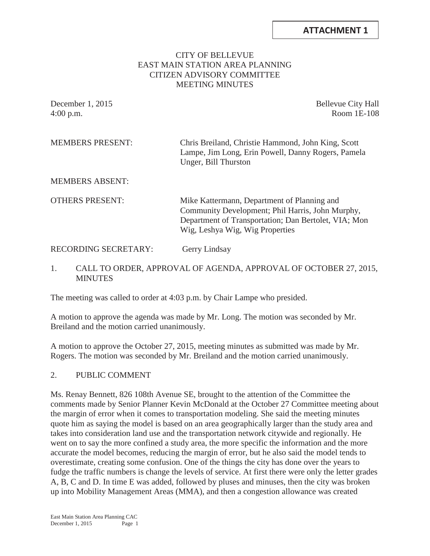### CITY OF BELLEVUE EAST MAIN STATION AREA PLANNING CITIZEN ADVISORY COMMITTEE MEETING MINUTES

December 1, 2015 Bellevue City Hall 4:00 p.m. Room 1E-108

MEMBERS PRESENT: Chris Breiland, Christie Hammond, John King, Scott Lampe, Jim Long, Erin Powell, Danny Rogers, Pamela Unger, Bill Thurston

MEMBERS ABSENT:

OTHERS PRESENT: Mike Kattermann, Department of Planning and Community Development; Phil Harris, John Murphy, Department of Transportation; Dan Bertolet, VIA; Mon Wig, Leshya Wig, Wig Properties

### RECORDING SECRETARY: Gerry Lindsay

#### 1. CALL TO ORDER, APPROVAL OF AGENDA, APPROVAL OF OCTOBER 27, 2015, **MINUTES**

The meeting was called to order at 4:03 p.m. by Chair Lampe who presided.

A motion to approve the agenda was made by Mr. Long. The motion was seconded by Mr. Breiland and the motion carried unanimously.

A motion to approve the October 27, 2015, meeting minutes as submitted was made by Mr. Rogers. The motion was seconded by Mr. Breiland and the motion carried unanimously.

#### 2. PUBLIC COMMENT

Ms. Renay Bennett, 826 108th Avenue SE, brought to the attention of the Committee the comments made by Senior Planner Kevin McDonald at the October 27 Committee meeting about the margin of error when it comes to transportation modeling. She said the meeting minutes quote him as saying the model is based on an area geographically larger than the study area and takes into consideration land use and the transportation network citywide and regionally. He went on to say the more confined a study area, the more specific the information and the more accurate the model becomes, reducing the margin of error, but he also said the model tends to overestimate, creating some confusion. One of the things the city has done over the years to fudge the traffic numbers is change the levels of service. At first there were only the letter grades A, B, C and D. In time E was added, followed by pluses and minuses, then the city was broken up into Mobility Management Areas (MMA), and then a congestion allowance was created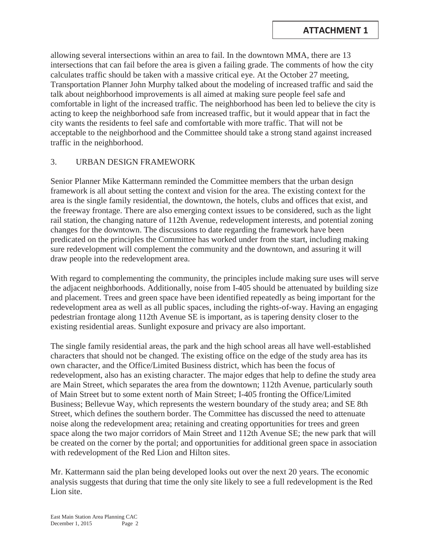allowing several intersections within an area to fail. In the downtown MMA, there are 13 intersections that can fail before the area is given a failing grade. The comments of how the city calculates traffic should be taken with a massive critical eye. At the October 27 meeting, Transportation Planner John Murphy talked about the modeling of increased traffic and said the talk about neighborhood improvements is all aimed at making sure people feel safe and comfortable in light of the increased traffic. The neighborhood has been led to believe the city is acting to keep the neighborhood safe from increased traffic, but it would appear that in fact the city wants the residents to feel safe and comfortable with more traffic. That will not be acceptable to the neighborhood and the Committee should take a strong stand against increased traffic in the neighborhood.

## 3. URBAN DESIGN FRAMEWORK

Senior Planner Mike Kattermann reminded the Committee members that the urban design framework is all about setting the context and vision for the area. The existing context for the area is the single family residential, the downtown, the hotels, clubs and offices that exist, and the freeway frontage. There are also emerging context issues to be considered, such as the light rail station, the changing nature of 112th Avenue, redevelopment interests, and potential zoning changes for the downtown. The discussions to date regarding the framework have been predicated on the principles the Committee has worked under from the start, including making sure redevelopment will complement the community and the downtown, and assuring it will draw people into the redevelopment area.

With regard to complementing the community, the principles include making sure uses will serve the adjacent neighborhoods. Additionally, noise from I-405 should be attenuated by building size and placement. Trees and green space have been identified repeatedly as being important for the redevelopment area as well as all public spaces, including the rights-of-way. Having an engaging pedestrian frontage along 112th Avenue SE is important, as is tapering density closer to the existing residential areas. Sunlight exposure and privacy are also important.

The single family residential areas, the park and the high school areas all have well-established characters that should not be changed. The existing office on the edge of the study area has its own character, and the Office/Limited Business district, which has been the focus of redevelopment, also has an existing character. The major edges that help to define the study area are Main Street, which separates the area from the downtown; 112th Avenue, particularly south of Main Street but to some extent north of Main Street; I-405 fronting the Office/Limited Business; Bellevue Way, which represents the western boundary of the study area; and SE 8th Street, which defines the southern border. The Committee has discussed the need to attenuate noise along the redevelopment area; retaining and creating opportunities for trees and green space along the two major corridors of Main Street and 112th Avenue SE; the new park that will be created on the corner by the portal; and opportunities for additional green space in association with redevelopment of the Red Lion and Hilton sites.

Mr. Kattermann said the plan being developed looks out over the next 20 years. The economic analysis suggests that during that time the only site likely to see a full redevelopment is the Red Lion site.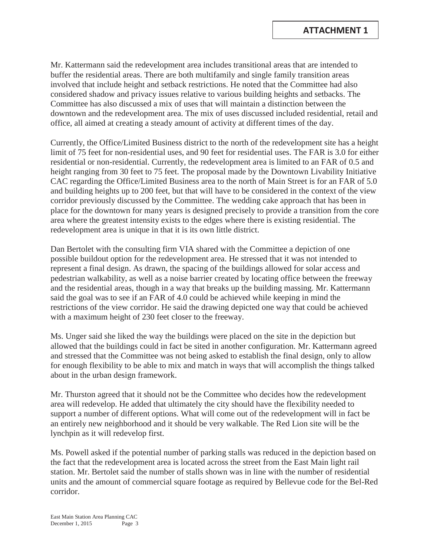Mr. Kattermann said the redevelopment area includes transitional areas that are intended to buffer the residential areas. There are both multifamily and single family transition areas involved that include height and setback restrictions. He noted that the Committee had also considered shadow and privacy issues relative to various building heights and setbacks. The Committee has also discussed a mix of uses that will maintain a distinction between the downtown and the redevelopment area. The mix of uses discussed included residential, retail and office, all aimed at creating a steady amount of activity at different times of the day.

Currently, the Office/Limited Business district to the north of the redevelopment site has a height limit of 75 feet for non-residential uses, and 90 feet for residential uses. The FAR is 3.0 for either residential or non-residential. Currently, the redevelopment area is limited to an FAR of 0.5 and height ranging from 30 feet to 75 feet. The proposal made by the Downtown Livability Initiative CAC regarding the Office/Limited Business area to the north of Main Street is for an FAR of 5.0 and building heights up to 200 feet, but that will have to be considered in the context of the view corridor previously discussed by the Committee. The wedding cake approach that has been in place for the downtown for many years is designed precisely to provide a transition from the core area where the greatest intensity exists to the edges where there is existing residential. The redevelopment area is unique in that it is its own little district.

Dan Bertolet with the consulting firm VIA shared with the Committee a depiction of one possible buildout option for the redevelopment area. He stressed that it was not intended to represent a final design. As drawn, the spacing of the buildings allowed for solar access and pedestrian walkability, as well as a noise barrier created by locating office between the freeway and the residential areas, though in a way that breaks up the building massing. Mr. Kattermann said the goal was to see if an FAR of 4.0 could be achieved while keeping in mind the restrictions of the view corridor. He said the drawing depicted one way that could be achieved with a maximum height of 230 feet closer to the freeway.

Ms. Unger said she liked the way the buildings were placed on the site in the depiction but allowed that the buildings could in fact be sited in another configuration. Mr. Kattermann agreed and stressed that the Committee was not being asked to establish the final design, only to allow for enough flexibility to be able to mix and match in ways that will accomplish the things talked about in the urban design framework.

Mr. Thurston agreed that it should not be the Committee who decides how the redevelopment area will redevelop. He added that ultimately the city should have the flexibility needed to support a number of different options. What will come out of the redevelopment will in fact be an entirely new neighborhood and it should be very walkable. The Red Lion site will be the lynchpin as it will redevelop first.

Ms. Powell asked if the potential number of parking stalls was reduced in the depiction based on the fact that the redevelopment area is located across the street from the East Main light rail station. Mr. Bertolet said the number of stalls shown was in line with the number of residential units and the amount of commercial square footage as required by Bellevue code for the Bel-Red corridor.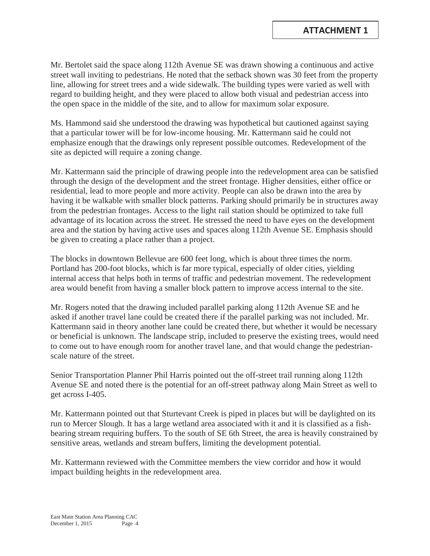Mr. Bertolet said the space along 112th Avenue SE was drawn showing a continuous and active street wall inviting to pedestrians. He noted that the setback shown was 30 feet from the property line, allowing for street trees and a wide sidewalk. The building types were varied as well with regard to building height, and they were placed to allow both visual and pedestrian access into the open space in the middle of the site, and to allow for maximum solar exposure.

Ms. Hammond said she understood the drawing was hypothetical but cautioned against saying that a particular tower will be for low-income housing. Mr. Kattermann said he could not emphasize enough that the drawings only represent possible outcomes. Redevelopment of the site as depicted will require a zoning change.

Mr. Kattermann said the principle of drawing people into the redevelopment area can be satisfied through the design of the development and the street frontage. Higher densities, either office or residential, lead to more people and more activity. People can also be drawn into the area by having it be walkable with smaller block patterns. Parking should primarily be in structures away from the pedestrian frontages. Access to the light rail station should be optimized to take full advantage of its location across the street. He stressed the need to have eyes on the development area and the station by having active uses and spaces along 112th Avenue SE. Emphasis should be given to creating a place rather than a project.

The blocks in downtown Bellevue are 600 feet long, which is about three times the norm. Portland has 200-foot blocks, which is far more typical, especially of older cities, yielding internal access that helps both in terms of traffic and pedestrian movement. The redevelopment area would benefit from having a smaller block pattern to improve access internal to the site.

Mr. Rogers noted that the drawing included parallel parking along 112th Avenue SE and he asked if another travel lane could be created there if the parallel parking was not included. Mr. Kattermann said in theory another lane could be created there, but whether it would be necessary or beneficial is unknown. The landscape strip, included to preserve the existing trees, would need to come out to have enough room for another travel lane, and that would change the pedestrianscale nature of the street.

Senior Transportation Planner Phil Harris pointed out the off-street trail running along 112th Avenue SE and noted there is the potential for an off-street pathway along Main Street as well to get across I-405.

Mr. Kattermann pointed out that Sturtevant Creek is piped in places but will be daylighted on its run to Mercer Slough. It has a large wetland area associated with it and it is classified as a fishbearing stream requiring buffers. To the south of SE 6th Street, the area is heavily constrained by sensitive areas, wetlands and stream buffers, limiting the development potential.

Mr. Kattermann reviewed with the Committee members the view corridor and how it would impact building heights in the redevelopment area.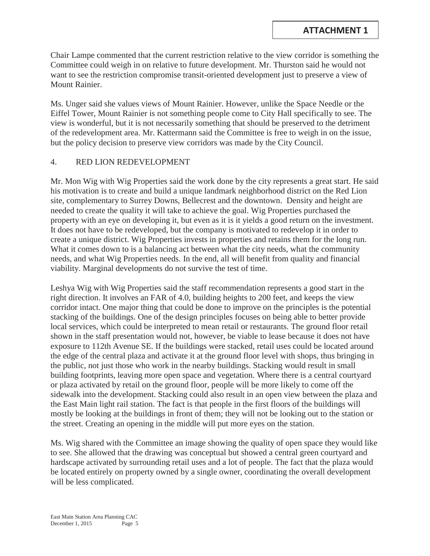Chair Lampe commented that the current restriction relative to the view corridor is something the Committee could weigh in on relative to future development. Mr. Thurston said he would not want to see the restriction compromise transit-oriented development just to preserve a view of Mount Rainier.

Ms. Unger said she values views of Mount Rainier. However, unlike the Space Needle or the Eiffel Tower, Mount Rainier is not something people come to City Hall specifically to see. The view is wonderful, but it is not necessarily something that should be preserved to the detriment of the redevelopment area. Mr. Kattermann said the Committee is free to weigh in on the issue, but the policy decision to preserve view corridors was made by the City Council.

## 4. RED LION REDEVELOPMENT

Mr. Mon Wig with Wig Properties said the work done by the city represents a great start. He said his motivation is to create and build a unique landmark neighborhood district on the Red Lion site, complementary to Surrey Downs, Bellecrest and the downtown. Density and height are needed to create the quality it will take to achieve the goal. Wig Properties purchased the property with an eye on developing it, but even as it is it yields a good return on the investment. It does not have to be redeveloped, but the company is motivated to redevelop it in order to create a unique district. Wig Properties invests in properties and retains them for the long run. What it comes down to is a balancing act between what the city needs, what the community needs, and what Wig Properties needs. In the end, all will benefit from quality and financial viability. Marginal developments do not survive the test of time.

Leshya Wig with Wig Properties said the staff recommendation represents a good start in the right direction. It involves an FAR of 4.0, building heights to 200 feet, and keeps the view corridor intact. One major thing that could be done to improve on the principles is the potential stacking of the buildings. One of the design principles focuses on being able to better provide local services, which could be interpreted to mean retail or restaurants. The ground floor retail shown in the staff presentation would not, however, be viable to lease because it does not have exposure to 112th Avenue SE. If the buildings were stacked, retail uses could be located around the edge of the central plaza and activate it at the ground floor level with shops, thus bringing in the public, not just those who work in the nearby buildings. Stacking would result in small building footprints, leaving more open space and vegetation. Where there is a central courtyard or plaza activated by retail on the ground floor, people will be more likely to come off the sidewalk into the development. Stacking could also result in an open view between the plaza and the East Main light rail station. The fact is that people in the first floors of the buildings will mostly be looking at the buildings in front of them; they will not be looking out to the station or the street. Creating an opening in the middle will put more eyes on the station.

Ms. Wig shared with the Committee an image showing the quality of open space they would like to see. She allowed that the drawing was conceptual but showed a central green courtyard and hardscape activated by surrounding retail uses and a lot of people. The fact that the plaza would be located entirely on property owned by a single owner, coordinating the overall development will be less complicated.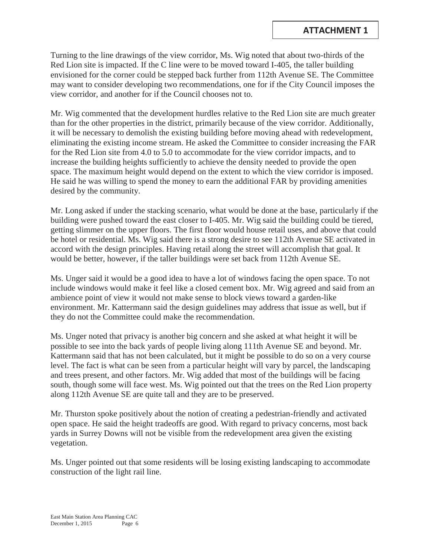Turning to the line drawings of the view corridor, Ms. Wig noted that about two-thirds of the Red Lion site is impacted. If the C line were to be moved toward I-405, the taller building envisioned for the corner could be stepped back further from 112th Avenue SE. The Committee may want to consider developing two recommendations, one for if the City Council imposes the view corridor, and another for if the Council chooses not to.

Mr. Wig commented that the development hurdles relative to the Red Lion site are much greater than for the other properties in the district, primarily because of the view corridor. Additionally, it will be necessary to demolish the existing building before moving ahead with redevelopment, eliminating the existing income stream. He asked the Committee to consider increasing the FAR for the Red Lion site from 4.0 to 5.0 to accommodate for the view corridor impacts, and to increase the building heights sufficiently to achieve the density needed to provide the open space. The maximum height would depend on the extent to which the view corridor is imposed. He said he was willing to spend the money to earn the additional FAR by providing amenities desired by the community.

Mr. Long asked if under the stacking scenario, what would be done at the base, particularly if the building were pushed toward the east closer to I-405. Mr. Wig said the building could be tiered, getting slimmer on the upper floors. The first floor would house retail uses, and above that could be hotel or residential. Ms. Wig said there is a strong desire to see 112th Avenue SE activated in accord with the design principles. Having retail along the street will accomplish that goal. It would be better, however, if the taller buildings were set back from 112th Avenue SE.

Ms. Unger said it would be a good idea to have a lot of windows facing the open space. To not include windows would make it feel like a closed cement box. Mr. Wig agreed and said from an ambience point of view it would not make sense to block views toward a garden-like environment. Mr. Kattermann said the design guidelines may address that issue as well, but if they do not the Committee could make the recommendation.

Ms. Unger noted that privacy is another big concern and she asked at what height it will be possible to see into the back yards of people living along 111th Avenue SE and beyond. Mr. Kattermann said that has not been calculated, but it might be possible to do so on a very course level. The fact is what can be seen from a particular height will vary by parcel, the landscaping and trees present, and other factors. Mr. Wig added that most of the buildings will be facing south, though some will face west. Ms. Wig pointed out that the trees on the Red Lion property along 112th Avenue SE are quite tall and they are to be preserved.

Mr. Thurston spoke positively about the notion of creating a pedestrian-friendly and activated open space. He said the height tradeoffs are good. With regard to privacy concerns, most back yards in Surrey Downs will not be visible from the redevelopment area given the existing vegetation.

Ms. Unger pointed out that some residents will be losing existing landscaping to accommodate construction of the light rail line.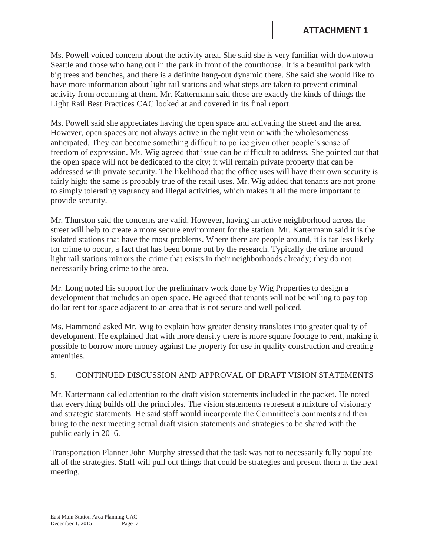Ms. Powell voiced concern about the activity area. She said she is very familiar with downtown Seattle and those who hang out in the park in front of the courthouse. It is a beautiful park with big trees and benches, and there is a definite hang-out dynamic there. She said she would like to have more information about light rail stations and what steps are taken to prevent criminal activity from occurring at them. Mr. Kattermann said those are exactly the kinds of things the Light Rail Best Practices CAC looked at and covered in its final report.

Ms. Powell said she appreciates having the open space and activating the street and the area. However, open spaces are not always active in the right vein or with the wholesomeness anticipated. They can become something difficult to police given other people's sense of freedom of expression. Ms. Wig agreed that issue can be difficult to address. She pointed out that the open space will not be dedicated to the city; it will remain private property that can be addressed with private security. The likelihood that the office uses will have their own security is fairly high; the same is probably true of the retail uses. Mr. Wig added that tenants are not prone to simply tolerating vagrancy and illegal activities, which makes it all the more important to provide security.

Mr. Thurston said the concerns are valid. However, having an active neighborhood across the street will help to create a more secure environment for the station. Mr. Kattermann said it is the isolated stations that have the most problems. Where there are people around, it is far less likely for crime to occur, a fact that has been borne out by the research. Typically the crime around light rail stations mirrors the crime that exists in their neighborhoods already; they do not necessarily bring crime to the area.

Mr. Long noted his support for the preliminary work done by Wig Properties to design a development that includes an open space. He agreed that tenants will not be willing to pay top dollar rent for space adjacent to an area that is not secure and well policed.

Ms. Hammond asked Mr. Wig to explain how greater density translates into greater quality of development. He explained that with more density there is more square footage to rent, making it possible to borrow more money against the property for use in quality construction and creating amenities.

# 5. CONTINUED DISCUSSION AND APPROVAL OF DRAFT VISION STATEMENTS

Mr. Kattermann called attention to the draft vision statements included in the packet. He noted that everything builds off the principles. The vision statements represent a mixture of visionary and strategic statements. He said staff would incorporate the Committee's comments and then bring to the next meeting actual draft vision statements and strategies to be shared with the public early in 2016.

Transportation Planner John Murphy stressed that the task was not to necessarily fully populate all of the strategies. Staff will pull out things that could be strategies and present them at the next meeting.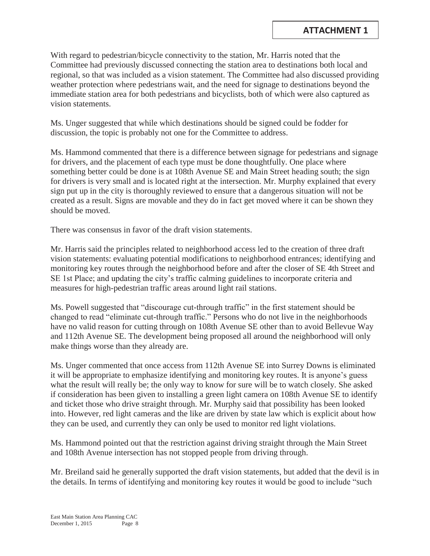With regard to pedestrian/bicycle connectivity to the station, Mr. Harris noted that the Committee had previously discussed connecting the station area to destinations both local and regional, so that was included as a vision statement. The Committee had also discussed providing weather protection where pedestrians wait, and the need for signage to destinations beyond the immediate station area for both pedestrians and bicyclists, both of which were also captured as vision statements.

Ms. Unger suggested that while which destinations should be signed could be fodder for discussion, the topic is probably not one for the Committee to address.

Ms. Hammond commented that there is a difference between signage for pedestrians and signage for drivers, and the placement of each type must be done thoughtfully. One place where something better could be done is at 108th Avenue SE and Main Street heading south; the sign for drivers is very small and is located right at the intersection. Mr. Murphy explained that every sign put up in the city is thoroughly reviewed to ensure that a dangerous situation will not be created as a result. Signs are movable and they do in fact get moved where it can be shown they should be moved.

There was consensus in favor of the draft vision statements.

Mr. Harris said the principles related to neighborhood access led to the creation of three draft vision statements: evaluating potential modifications to neighborhood entrances; identifying and monitoring key routes through the neighborhood before and after the closer of SE 4th Street and SE 1st Place; and updating the city's traffic calming guidelines to incorporate criteria and measures for high-pedestrian traffic areas around light rail stations.

Ms. Powell suggested that "discourage cut-through traffic" in the first statement should be changed to read "eliminate cut-through traffic." Persons who do not live in the neighborhoods have no valid reason for cutting through on 108th Avenue SE other than to avoid Bellevue Way and 112th Avenue SE. The development being proposed all around the neighborhood will only make things worse than they already are.

Ms. Unger commented that once access from 112th Avenue SE into Surrey Downs is eliminated it will be appropriate to emphasize identifying and monitoring key routes. It is anyone's guess what the result will really be; the only way to know for sure will be to watch closely. She asked if consideration has been given to installing a green light camera on 108th Avenue SE to identify and ticket those who drive straight through. Mr. Murphy said that possibility has been looked into. However, red light cameras and the like are driven by state law which is explicit about how they can be used, and currently they can only be used to monitor red light violations.

Ms. Hammond pointed out that the restriction against driving straight through the Main Street and 108th Avenue intersection has not stopped people from driving through.

Mr. Breiland said he generally supported the draft vision statements, but added that the devil is in the details. In terms of identifying and monitoring key routes it would be good to include "such